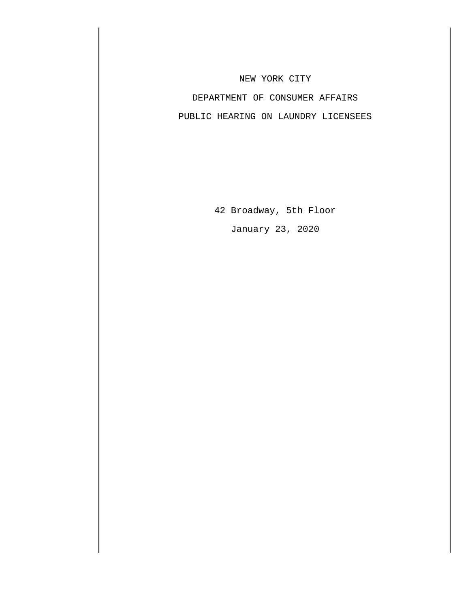## NEW YORK CITY

# DEPARTMENT OF CONSUMER AFFAIRS PUBLIC HEARING ON LAUNDRY LICENSEES

42 Broadway, 5th Floor January 23, 2020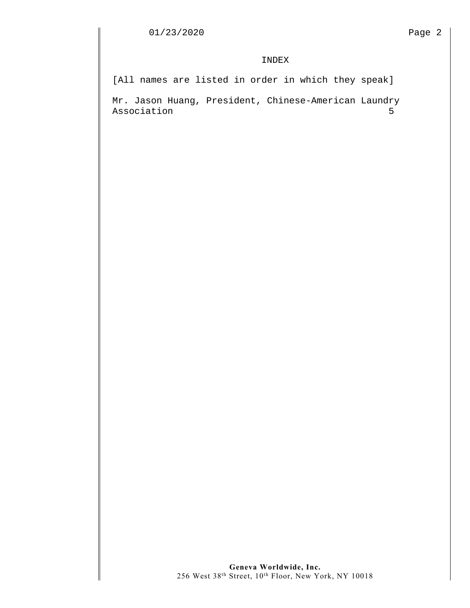#### INDEX

[All names are listed in order in which they speak]

Mr. Jason Huang, President, Chinese-American Laundry<br>Association 5 Association 5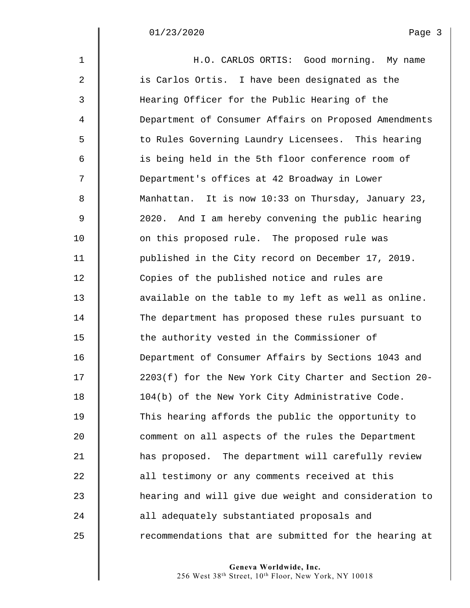$\mathsf I$ 

| $\mathbf 1$    | H.O. CARLOS ORTIS: Good morning. My name              |
|----------------|-------------------------------------------------------|
| 2              | is Carlos Ortis. I have been designated as the        |
| $\mathfrak{Z}$ | Hearing Officer for the Public Hearing of the         |
| $\overline{4}$ | Department of Consumer Affairs on Proposed Amendments |
| 5              | to Rules Governing Laundry Licensees. This hearing    |
| 6              | is being held in the 5th floor conference room of     |
| 7              | Department's offices at 42 Broadway in Lower          |
| 8              | Manhattan. It is now 10:33 on Thursday, January 23,   |
| 9              | 2020. And I am hereby convening the public hearing    |
| 10             | on this proposed rule. The proposed rule was          |
| 11             | published in the City record on December 17, 2019.    |
| 12             | Copies of the published notice and rules are          |
| 13             | available on the table to my left as well as online.  |
| 14             | The department has proposed these rules pursuant to   |
| 15             | the authority vested in the Commissioner of           |
| 16             | Department of Consumer Affairs by Sections 1043 and   |
| 17             | 2203(f) for the New York City Charter and Section 20- |
| 18             | 104(b) of the New York City Administrative Code.      |
| 19             | This hearing affords the public the opportunity to    |
| 20             | comment on all aspects of the rules the Department    |
| 21             | has proposed. The department will carefully review    |
| 22             | all testimony or any comments received at this        |
| 23             | hearing and will give due weight and consideration to |
| 24             | all adequately substantiated proposals and            |
| 25             | recommendations that are submitted for the hearing at |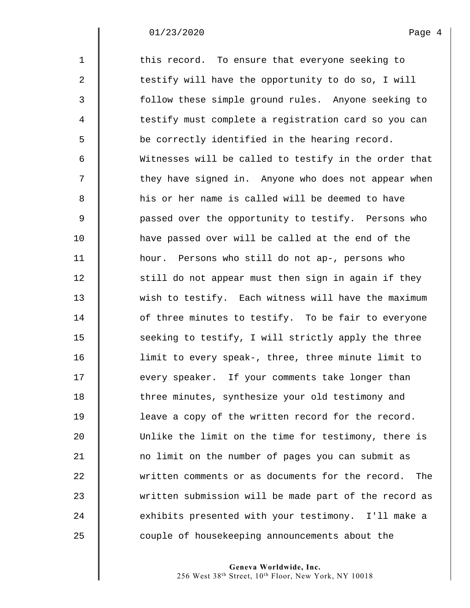## 01/23/2020 Page 4

| $\mathbf{1}$   | this record. To ensure that everyone seeking to         |
|----------------|---------------------------------------------------------|
| $\overline{a}$ | testify will have the opportunity to do so, I will      |
| 3              | follow these simple ground rules. Anyone seeking to     |
| 4              | testify must complete a registration card so you can    |
| 5              | be correctly identified in the hearing record.          |
| 6              | Witnesses will be called to testify in the order that   |
| 7              | they have signed in. Anyone who does not appear when    |
| 8              | his or her name is called will be deemed to have        |
| 9              | passed over the opportunity to testify. Persons who     |
| 10             | have passed over will be called at the end of the       |
| 11             | hour. Persons who still do not ap-, persons who         |
| 12             | still do not appear must then sign in again if they     |
| 13             | wish to testify. Each witness will have the maximum     |
| 14             | of three minutes to testify. To be fair to everyone     |
| 15             | seeking to testify, I will strictly apply the three     |
| 16             | limit to every speak-, three, three minute limit to     |
| 17             | every speaker. If your comments take longer than        |
| 18             | three minutes, synthesize your old testimony and        |
| 19             | leave a copy of the written record for the record.      |
| 20             | Unlike the limit on the time for testimony, there is    |
| 21             | no limit on the number of pages you can submit as       |
| 22             | written comments or as documents for the record.<br>The |
| 23             | written submission will be made part of the record as   |
| 24             | exhibits presented with your testimony. I'll make a     |
| 25             | couple of housekeeping announcements about the          |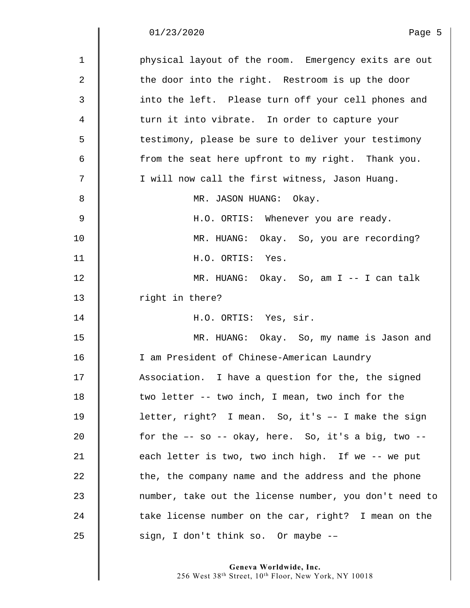## 01/23/2020 Page 5

 $\parallel$ ∥

| $\mathbf 1$ | physical layout of the room. Emergency exits are out   |
|-------------|--------------------------------------------------------|
| 2           | the door into the right. Restroom is up the door       |
| 3           | into the left. Please turn off your cell phones and    |
| 4           | turn it into vibrate. In order to capture your         |
| 5           | testimony, please be sure to deliver your testimony    |
| 6           | from the seat here upfront to my right. Thank you.     |
| 7           | I will now call the first witness, Jason Huang.        |
| 8           | MR. JASON HUANG: Okay.                                 |
| 9           | H.O. ORTIS: Whenever you are ready.                    |
| 10          | MR. HUANG: Okay. So, you are recording?                |
| 11          | H.O. ORTIS: Yes.                                       |
| 12          | MR. HUANG: Okay. So, am I -- I can talk                |
| 13          | right in there?                                        |
| 14          | H.O. ORTIS: Yes, sir.                                  |
| 15          | MR. HUANG: Okay. So, my name is Jason and              |
| 16          | I am President of Chinese-American Laundry             |
| 17          | Association. I have a question for the, the signed     |
| 18          | two letter -- two inch, I mean, two inch for the       |
| 19          | letter, right? I mean. So, it's -- I make the sign     |
| 20          | for the -- so -- okay, here. So, it's a big, two --    |
| 21          | each letter is two, two inch high. If we -- we put     |
| 22          | the, the company name and the address and the phone    |
| 23          | number, take out the license number, you don't need to |
| 24          | take license number on the car, right? I mean on the   |
| 25          | sign, I don't think so. Or maybe --                    |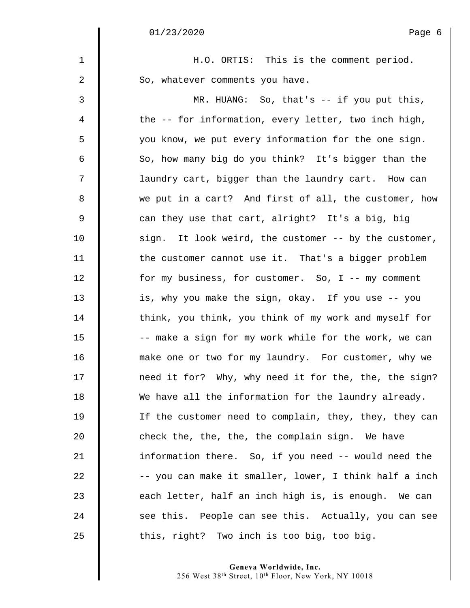1 | H.O. ORTIS: This is the comment period. 2 So, whatever comments you have. 3 **MR.** HUANG: So, that's -- if you put this,  $4 \parallel$  the -- for information, every letter, two inch high, 5 you know, we put every information for the one sign.  $6 \parallel$  So, how many big do you think? It's bigger than the 7  $\parallel$  laundry cart, bigger than the laundry cart. How can 8 we put in a cart? And first of all, the customer, how  $9 \parallel$  can they use that cart, alright? It's a big, big 10 Sign. It look weird, the customer -- by the customer, 11 **the customer cannot use it. That's a bigger problem** 12 | for my business, for customer. So, I -- my comment 13 is, why you make the sign, okay. If you use -- you 14 Think, you think, you think of my work and myself for 15  $\parallel$  -- make a sign for my work while for the work, we can 16 make one or two for my laundry. For customer, why we 17 **need it for?** Why, why need it for the, the, the sign? 18 We have all the information for the laundry already. 19 If the customer need to complain, they, they, they can 20  $\parallel$  check the, the, the, the complain sign. We have 21 **information there.** So, if you need -- would need the 22  $\parallel$  -- you can make it smaller, lower, I think half a inch 23  $\parallel$  each letter, half an inch high is, is enough. We can 24 see this. People can see this. Actually, you can see 25  $\parallel$  this, right? Two inch is too big, too big.

**Geneva Worldwide, Inc.** 

256 West 38th Street, 10th Floor, New York, NY 10018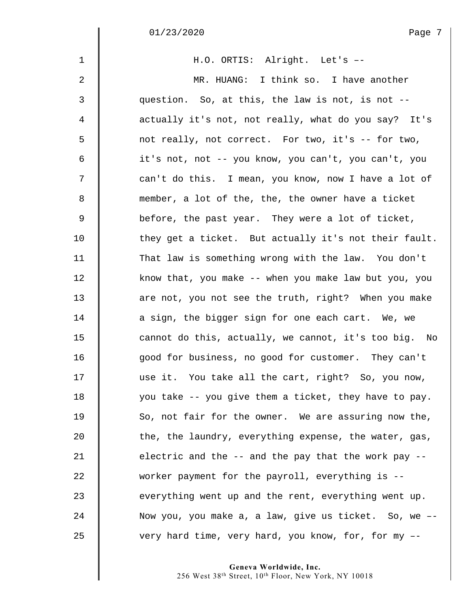$\parallel$ ∥

| $\mathbf{1}$   | H.O. ORTIS: Alright. Let's --                         |
|----------------|-------------------------------------------------------|
| 2              | MR. HUANG: I think so. I have another                 |
| 3              | question. So, at this, the law is not, is not --      |
| $\overline{4}$ | actually it's not, not really, what do you say? It's  |
| 5              | not really, not correct. For two, it's -- for two,    |
| 6              | it's not, not -- you know, you can't, you can't, you  |
| 7              | can't do this. I mean, you know, now I have a lot of  |
| 8              | member, a lot of the, the, the owner have a ticket    |
| $\mathsf 9$    | before, the past year. They were a lot of ticket,     |
| 10             | they get a ticket. But actually it's not their fault. |
| 11             | That law is something wrong with the law. You don't   |
| 12             | know that, you make -- when you make law but you, you |
| 13             | are not, you not see the truth, right? When you make  |
| 14             | a sign, the bigger sign for one each cart. We, we     |
| 15             | cannot do this, actually, we cannot, it's too big. No |
| 16             | good for business, no good for customer. They can't   |
| 17             | use it. You take all the cart, right? So, you now,    |
| 18             | you take -- you give them a ticket, they have to pay. |
| 19             | So, not fair for the owner. We are assuring now the,  |
| 20             | the, the laundry, everything expense, the water, gas, |
| 21             | electric and the -- and the pay that the work pay --  |
| 22             | worker payment for the payroll, everything is --      |
| 23             | everything went up and the rent, everything went up.  |
| 24             | Now you, you make a, a law, give us ticket. So, we -- |
| 25             | very hard time, very hard, you know, for, for my --   |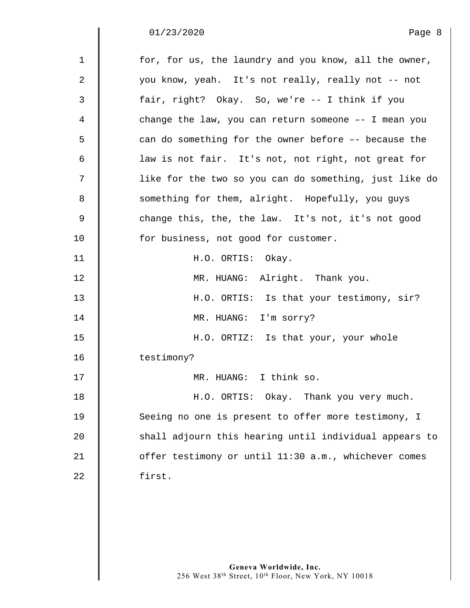$\begin{array}{c} \hline \end{array}$ 

| $\mathbf 1$ | for, for us, the laundry and you know, all the owner,  |
|-------------|--------------------------------------------------------|
| 2           | you know, yeah. It's not really, really not -- not     |
| 3           | fair, right? Okay. So, we're -- I think if you         |
| 4           | change the law, you can return someone -- I mean you   |
| 5           | can do something for the owner before -- because the   |
| 6           | law is not fair. It's not, not right, not great for    |
| 7           | like for the two so you can do something, just like do |
| 8           | something for them, alright. Hopefully, you guys       |
| $\mathsf 9$ | change this, the, the law. It's not, it's not good     |
| 10          | for business, not good for customer.                   |
| 11          | H.O. ORTIS: Okay.                                      |
| 12          | MR. HUANG: Alright. Thank you.                         |
| 13          | H.O. ORTIS: Is that your testimony, sir?               |
| 14          | MR. HUANG: I'm sorry?                                  |
| 15          | H.O. ORTIZ: Is that your, your whole                   |
| 16          | testimony?                                             |
| 17          | MR. HUANG: I think so.                                 |
| 18          | H.O. ORTIS: Okay. Thank you very much.                 |
| 19          | Seeing no one is present to offer more testimony, I    |
| 20          | shall adjourn this hearing until individual appears to |
| 21          | offer testimony or until 11:30 a.m., whichever comes   |
| 22          | first.                                                 |
|             |                                                        |